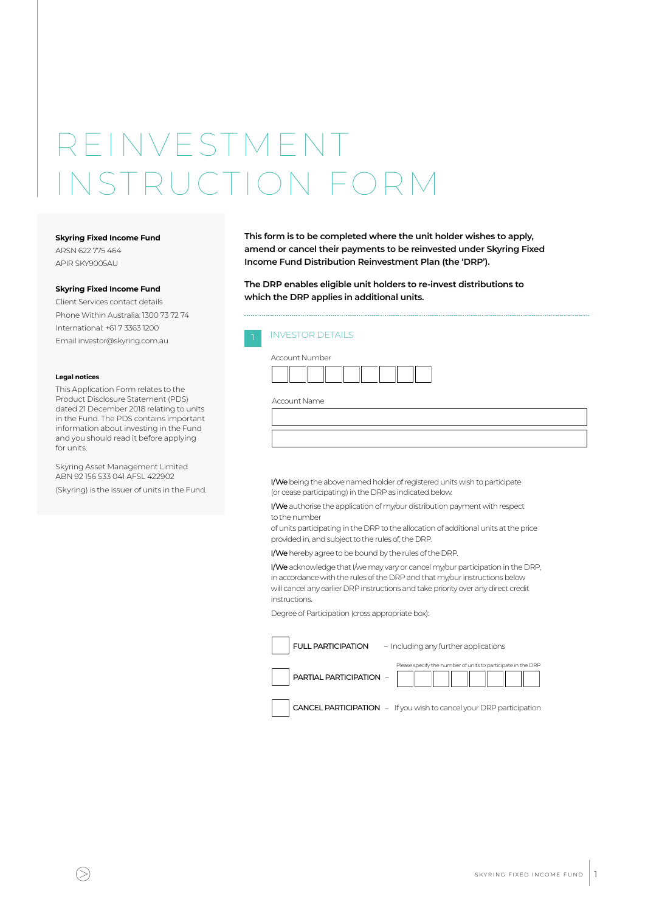# REINVESTMEN INSTRUCTION FORM

#### **Skyring Fixed Income Fund**

ARSN 622 775 464 APIR SKY9005AU

#### **Skyring Fixed Income Fund**

Client Services contact details Phone Within Australia: 1300 73 72 74 International: +61 7 3363 1200 Email investor@skyring.com.au

#### **Legal notices**

This Application Form relates to the Product Disclosure Statement (PDS) dated 21 December 2018 relating to units in the Fund. The PDS contains important information about investing in the Fund and you should read it before applying for units.

Skyring Asset Management Limited ABN 92 156 533 041 AFSL 422902

(Skyring) is the issuer of units in the Fund.

**This form is to be completed where the unit holder wishes to apply, amend or cancel their payments to be reinvested under Skyring Fixed Income Fund Distribution Reinvestment Plan (the 'DRP').**

**The DRP enables eligible unit holders to re-invest distributions to which the DRP applies in additional units.** 

### **INVESTOR DETAILS**

| Account Number |  |  |
|----------------|--|--|
|                |  |  |

Account Name

I/We being the above named holder of registered units wish to participate (or cease participating) in the DRP as indicated below.

I/We authorise the application of my/our distribution payment with respect to the number

of units participating in the DRP to the allocation of additional units at the price provided in, and subject to the rules of, the DRP.

I/We hereby agree to be bound by the rules of the DRP.

I/We acknowledge that I/we may vary or cancel my/our participation in the DRP, in accordance with the rules of the DRP and that my/our instructions below will cancel any earlier DRP instructions and take priority over any direct credit instructions.

Degree of Participation (cross appropriate box):

| <b>FULL PARTICIPATION</b> | - Including any further applications                         |
|---------------------------|--------------------------------------------------------------|
| PARTIAL PARTICIPATION -   | Please specify the number of units to participate in the DRP |
|                           |                                                              |

CANCEL PARTICIPATION – If you wish to cancel your DRP participation